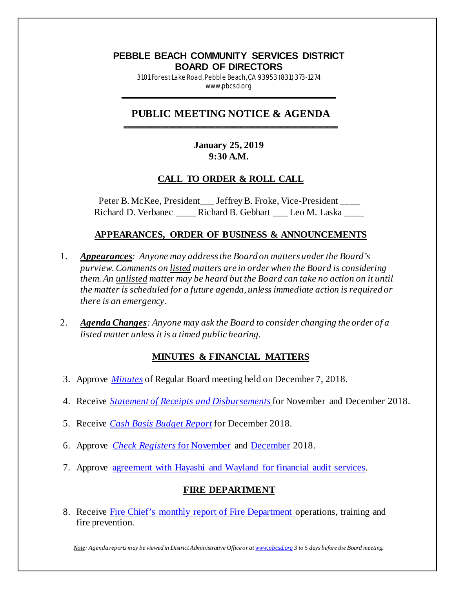# **PEBBLE BEACH COMMUNITY SERVICES DISTRICT BOARD OF DIRECTORS**

3101 Forest Lake Road, Pebble Beach, CA 93953 (831) 373-1274 www.pbcsd.org \_\_\_\_\_\_\_\_\_\_\_\_\_\_\_\_\_\_\_\_\_\_\_\_\_\_\_\_\_\_\_\_\_\_\_\_\_\_\_\_\_\_\_\_\_\_\_\_\_\_\_\_\_\_\_\_\_\_\_

#### **PUBLIC MEETING NOTICE & AGENDA \_\_\_\_\_\_\_\_\_\_\_\_\_\_\_\_\_\_\_\_\_\_\_\_\_\_\_\_\_\_\_\_\_\_\_\_\_\_\_\_\_\_\_\_\_\_\_\_\_\_\_\_\_\_\_\_\_\_\_**

### **January 25, 2019 9:30 A.M.**

### **CALL TO ORDER & ROLL CALL**

Peter B. McKee, President \_\_\_ Jeffrey B. Froke, Vice-President \_\_\_\_ Richard D. Verbanec \_\_\_\_ Richard B. Gebhart \_\_\_ Leo M. Laska \_\_\_\_

### **APPEARANCES, ORDER OF BUSINESS & ANNOUNCEMENTS**

- 1. *Appearances: Anyone may address the Board on matters under the Board's purview. Comments on listed matters are in order when the Board is considering them. An unlisted matter may be heard but the Board can take no action on it until the matter is scheduled for a future agenda, unless immediate action is required or there is an emergency.*
- 2. *Agenda Changes: Anyone may ask the Board to consider changing the order of a listed matter unless it is a timed public hearing.*

### **MINUTES & FINANCIAL MATTERS**

- 3. Approve *[Minutes](http://pbcsd.org/wp-content/uploads/pbcsd/meetings/board/2019/2019-01-25/03_18_1207_PBCSD_Draft_Minutes.pdf)* of Regular Board meeting held on December 7, 2018.
- 4. Receive *[Statement of Receipts and Disbursements](http://pbcsd.org/wp-content/uploads/pbcsd/meetings/board/2019/2019-01-25/04_Statement_of_Receipts_and_Disbursements_for_November_and_December_2018.pdf)* for November and December 2018.
- 5. Receive *[Cash Basis Budget Report](http://pbcsd.org/wp-content/uploads/pbcsd/meetings/board/2019/2019-01-25/05_Cash_Basis_Budget_Report_for_December_2018.pdf)* for December 2018.
- 6. Approve *[Check Registers](http://pbcsd.org/wp-content/uploads/pbcsd/meetings/board/2019/2019-01-25/06A_Check_Register_for_November_2018.pdf)* for November and [December](http://pbcsd.org/wp-content/uploads/pbcsd/meetings/board/2019/2019-01-25/06B_Check_Register_for_December_2018.pdf) 2018.
- 7. Approve agreement with Hayashi and Wayland for financial audit services.

### **FIRE DEPARTMENT**

8. Receive [Fire Chief's monthly report of Fire Department o](http://pbcsd.org/wp-content/uploads/pbcsd/meetings/board/2019/2019-01-25/08_Fire_Department_Operations_Report_from_Nov._15_2018_to_Jan._14_2019.pdf)perations, training and fire prevention.

*Note: Agenda reports may be viewed in District Administrative Office or a[t www.pbcsd.org](http://www.pbcsd.org/) 3 to 5 days before the Board meeting.*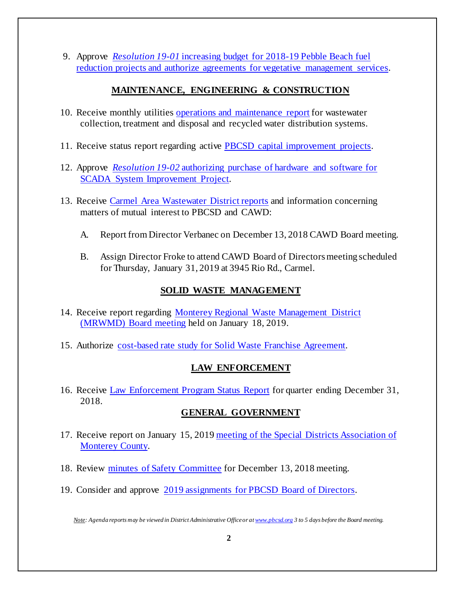9. Approve *Resolution 19-01* [increasing budget for 2018-19 Pebble Beach fuel](http://pbcsd.org/meetings/2019/2019_01_25/09_Resolution_19-01_Increasing_PB_Fuel_Reduction_Projects_2018-19_Budget_&_Authorizing_Agreements_for_Vegetative_Management_Services.pdf)  [reduction projects and authorize agreements for vegetative management services.](http://pbcsd.org/meetings/2019/2019_01_25/09_Resolution_19-01_Increasing_PB_Fuel_Reduction_Projects_2018-19_Budget_&_Authorizing_Agreements_for_Vegetative_Management_Services.pdf)

# **MAINTENANCE, ENGINEERING & CONSTRUCTION**

- 10. Receive monthly utilities [operations and maintenance report](http://pbcsd.org/wp-content/uploads/pbcsd/meetings/board/2019/2019-01-25/10_Operations__Maintenance_Report.pdf) for wastewater collection, treatment and disposal and recycled water distribution systems.
- 11. Receive status report regarding active [PBCSD capital improvement projects.](http://pbcsd.org/wp-content/uploads/pbcsd/meetings/board/2019/2019-01-25/11_Capital_Improvement_Projects_Report.pdf)
- 12. Approve *Resolution 19-02* authorizing [purchase of hardware](http://pbcsd.org/wp-content/uploads/pbcsd/meetings/board/2019/2019-01-25/12_Resolution_19-02_SCADA_Server_Hardware__Software_Purchase.pdf) and software for [SCADA System Improvement Project.](http://pbcsd.org/wp-content/uploads/pbcsd/meetings/board/2019/2019-01-25/12_Resolution_19-02_SCADA_Server_Hardware__Software_Purchase.pdf)
- 13. Receive [Carmel Area Wastewater District reports](http://pbcsd.org/wp-content/uploads/pbcsd/meetings/board/2019/2019-01-25/13_CAWD_Agendas_and_Reports.pdf) and information concerning matters of mutual interest to PBCSD and CAWD:
	- A. Report from Director Verbanec on December 13, 2018 CAWD Board meeting.
	- B. Assign Director Froke to attend CAWD Board of Directors meeting scheduled for Thursday, January 31, 2019 at 3945 Rio Rd., Carmel.

# **SOLID WASTE MANAGEMENT**

- 14. Receive report regarding [Monterey Regional Waste Management District](http://pbcsd.org/wp-content/uploads/pbcsd/meetings/board/2019/2019-01-25/14_MRWMD_Board_Meeting_Agenda_and_GM_Report.pdf)  [\(MRWMD\) Board meeting](http://pbcsd.org/wp-content/uploads/pbcsd/meetings/board/2019/2019-01-25/14_MRWMD_Board_Meeting_Agenda_and_GM_Report.pdf) held on January 18, 2019.
- 15. Authorize [cost-based rate study for Solid Waste Franchise Agreement.](http://pbcsd.org/wp-content/uploads/pbcsd/meetings/board/2019/2019-01-25/15_Solid_Waste_Franchise_Cost-based_Rate_Adjustment.pdf)

# **LAW ENFORCEMENT**

16. Receive [Law Enforcement Program Status Report](http://pbcsd.org/wp-content/uploads/pbcsd/meetings/board/2019/2019-01-25/16_Law_Enforcement_Program_Status_Report_for_Quarter_Ending_December_31_2018.pdf) for quarter ending December 31, 2018.

# **GENERAL GOVERNMENT**

- 17. Receive report on January 15, 2019 [meeting of the Special Districts Association of](http://pbcsd.org/wp-content/uploads/pbcsd/meetings/board/2019/2019-01-25/17_Special_Districts_Association_Monterey_County_Meeting.pdf)  [Monterey County.](http://pbcsd.org/wp-content/uploads/pbcsd/meetings/board/2019/2019-01-25/17_Special_Districts_Association_Monterey_County_Meeting.pdf)
- 18. Review [minutes of Safety Committee](http://pbcsd.org/wp-content/uploads/pbcsd/meetings/board/2019/2019-01-25/18_Safety_Committee_Meeting_Minutes_for_December_13_2018_Meeting.pdf) for December 13, 2018 meeting.
- 19. Consider and approve 2019 [assignments for PBCSD Board of Directors.](http://pbcsd.org/wp-content/uploads/pbcsd/meetings/board/2019/2019-01-25/19_2019_PBCSD_Board_of_Directors_Assignments.pdf)

*Note: Agenda reports may be viewed in District Administrative Office or a[t www.pbcsd.org](http://www.pbcsd.org/) 3 to 5 days before the Board meeting.*